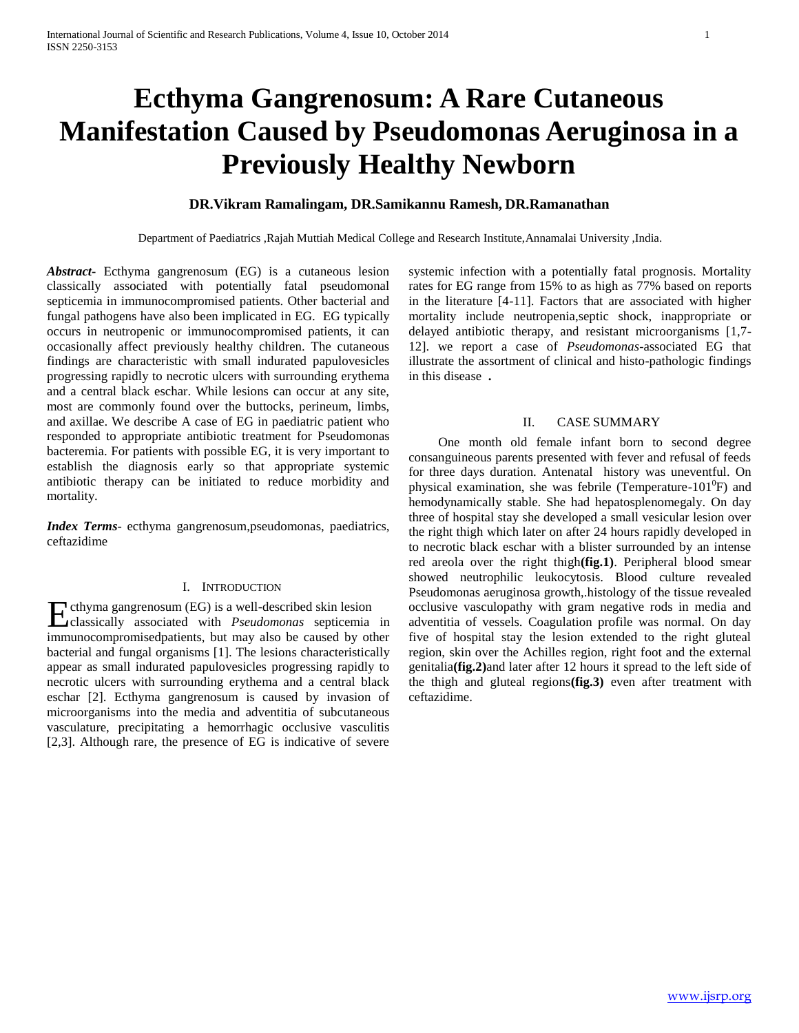# **Ecthyma Gangrenosum: A Rare Cutaneous Manifestation Caused by Pseudomonas Aeruginosa in a Previously Healthy Newborn**

## **DR.Vikram Ramalingam, DR.Samikannu Ramesh, DR.Ramanathan**

Department of Paediatrics ,Rajah Muttiah Medical College and Research Institute,Annamalai University ,India.

*Abstract***-** Ecthyma gangrenosum (EG) is a cutaneous lesion classically associated with potentially fatal pseudomonal septicemia in immunocompromised patients. Other bacterial and fungal pathogens have also been implicated in EG. EG typically occurs in neutropenic or immunocompromised patients, it can occasionally affect previously healthy children. The cutaneous findings are characteristic with small indurated papulovesicles progressing rapidly to necrotic ulcers with surrounding erythema and a central black eschar. While lesions can occur at any site, most are commonly found over the buttocks, perineum, limbs, and axillae. We describe A case of EG in paediatric patient who responded to appropriate antibiotic treatment for Pseudomonas bacteremia. For patients with possible EG, it is very important to establish the diagnosis early so that appropriate systemic antibiotic therapy can be initiated to reduce morbidity and mortality.

*Index Terms*- ecthyma gangrenosum,pseudomonas, paediatrics, ceftazidime

#### I. INTRODUCTION

cthyma gangrenosum (EG) is a well-described skin lesion **Example 13** cthyma gangrenosum (EG) is a well-described skin lesion classically associated with *Pseudomonas* septicemia in immunocompromisedpatients, but may also be caused by other bacterial and fungal organisms [1]. The lesions characteristically appear as small indurated papulovesicles progressing rapidly to necrotic ulcers with surrounding erythema and a central black eschar [2]. Ecthyma gangrenosum is caused by invasion of microorganisms into the media and adventitia of subcutaneous vasculature, precipitating a hemorrhagic occlusive vasculitis [2,3]. Although rare, the presence of EG is indicative of severe

systemic infection with a potentially fatal prognosis. Mortality rates for EG range from 15% to as high as 77% based on reports in the literature [4-11]. Factors that are associated with higher mortality include neutropenia,septic shock, inappropriate or delayed antibiotic therapy, and resistant microorganisms [1,7- 12]. we report a case of *Pseudomonas*-associated EG that illustrate the assortment of clinical and histo-pathologic findings in this disease **.**

### II. CASE SUMMARY

 One month old female infant born to second degree consanguineous parents presented with fever and refusal of feeds for three days duration. Antenatal history was uneventful. On physical examination, she was febrile (Temperature-101 $^{0}$ F) and hemodynamically stable. She had hepatosplenomegaly. On day three of hospital stay she developed a small vesicular lesion over the right thigh which later on after 24 hours rapidly developed in to necrotic black eschar with a blister surrounded by an intense red areola over the right thigh**(fig.1)**. Peripheral blood smear showed neutrophilic leukocytosis. Blood culture revealed Pseudomonas aeruginosa growth,.histology of the tissue revealed occlusive vasculopathy with gram negative rods in media and adventitia of vessels. Coagulation profile was normal. On day five of hospital stay the lesion extended to the right gluteal region, skin over the Achilles region, right foot and the external genitalia**(fig.2)**and later after 12 hours it spread to the left side of the thigh and gluteal regions**(fig.3)** even after treatment with ceftazidime.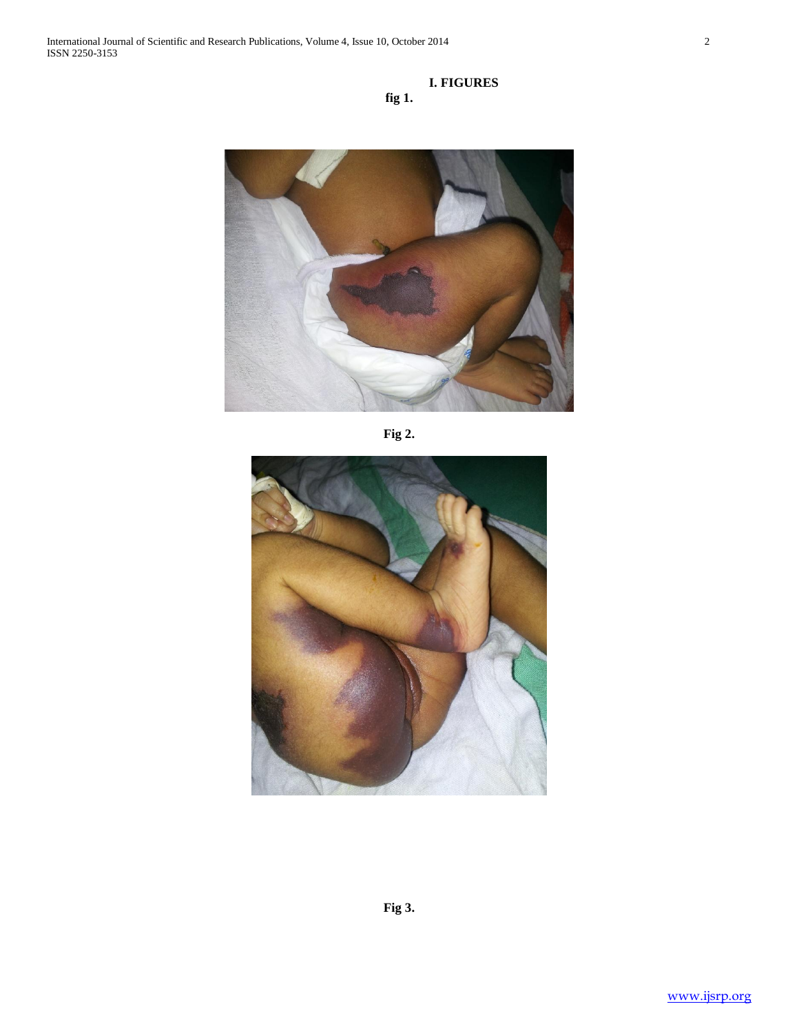## **I. FIGURES fig 1.**



**Fig 2.**



**Fig 3.**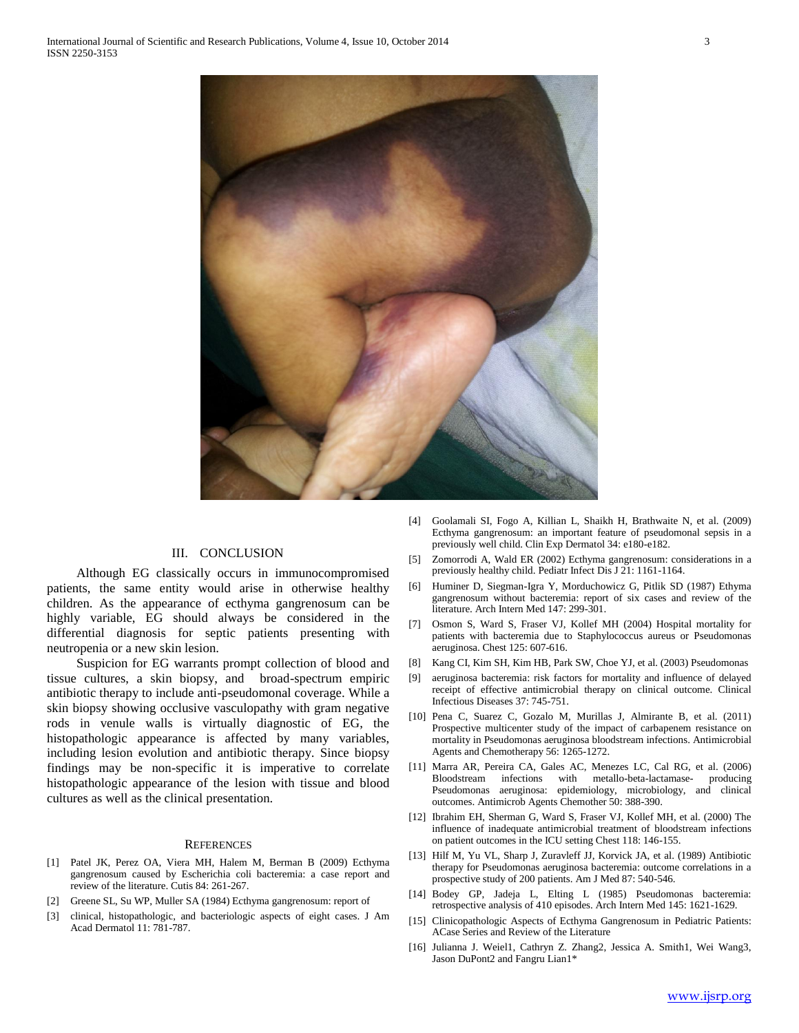

#### III. CONCLUSION

 Although EG classically occurs in immunocompromised patients, the same entity would arise in otherwise healthy children. As the appearance of ecthyma gangrenosum can be highly variable, EG should always be considered in the differential diagnosis for septic patients presenting with neutropenia or a new skin lesion.

 Suspicion for EG warrants prompt collection of blood and tissue cultures, a skin biopsy, and broad-spectrum empiric antibiotic therapy to include anti-pseudomonal coverage. While a skin biopsy showing occlusive vasculopathy with gram negative rods in venule walls is virtually diagnostic of EG, the histopathologic appearance is affected by many variables, including lesion evolution and antibiotic therapy. Since biopsy findings may be non-specific it is imperative to correlate histopathologic appearance of the lesion with tissue and blood cultures as well as the clinical presentation.

#### **REFERENCES**

- [1] Patel JK, Perez OA, Viera MH, Halem M, Berman B (2009) Ecthyma gangrenosum caused by Escherichia coli bacteremia: a case report and review of the literature. Cutis 84: 261-267.
- [2] Greene SL, Su WP, Muller SA (1984) Ecthyma gangrenosum: report of
- [3] clinical, histopathologic, and bacteriologic aspects of eight cases. J Am Acad Dermatol 11: 781-787.
- [4] Goolamali SI, Fogo A, Killian L, Shaikh H, Brathwaite N, et al. (2009) Ecthyma gangrenosum: an important feature of pseudomonal sepsis in a previously well child. Clin Exp Dermatol 34: e180-e182.
- [5] Zomorrodi A, Wald ER (2002) Ecthyma gangrenosum: considerations in a previously healthy child. Pediatr Infect Dis J 21: 1161-1164.
- [6] Huminer D, Siegman-Igra Y, Morduchowicz G, Pitlik SD (1987) Ethyma gangrenosum without bacteremia: report of six cases and review of the literature. Arch Intern Med 147: 299-301.
- [7] Osmon S, Ward S, Fraser VJ, Kollef MH (2004) Hospital mortality for patients with bacteremia due to Staphylococcus aureus or Pseudomonas aeruginosa. Chest 125: 607-616.
- [8] Kang CI, Kim SH, Kim HB, Park SW, Choe YJ, et al. (2003) Pseudomonas
- [9] aeruginosa bacteremia: risk factors for mortality and influence of delayed receipt of effective antimicrobial therapy on clinical outcome. Clinical Infectious Diseases 37: 745-751.
- [10] Pena C, Suarez C, Gozalo M, Murillas J, Almirante B, et al. (2011) Prospective multicenter study of the impact of carbapenem resistance on mortality in Pseudomonas aeruginosa bloodstream infections. Antimicrobial Agents and Chemotherapy 56: 1265-1272.
- [11] Marra AR, Pereira CA, Gales AC, Menezes LC, Cal RG, et al. (2006) Bloodstream infections with metallo-beta-lactamase- producing Pseudomonas aeruginosa: epidemiology, microbiology, and clinical outcomes. Antimicrob Agents Chemother 50: 388-390.
- [12] Ibrahim EH, Sherman G, Ward S, Fraser VJ, Kollef MH, et al. (2000) The influence of inadequate antimicrobial treatment of bloodstream infections on patient outcomes in the ICU setting Chest 118: 146-155.
- [13] Hilf M, Yu VL, Sharp J, Zuravleff JJ, Korvick JA, et al. (1989) Antibiotic therapy for Pseudomonas aeruginosa bacteremia: outcome correlations in a prospective study of 200 patients. Am J Med 87: 540-546.
- [14] Bodey GP, Jadeja L, Elting L (1985) Pseudomonas bacteremia: retrospective analysis of 410 episodes. Arch Intern Med 145: 1621-1629.
- [15] Clinicopathologic Aspects of Ecthyma Gangrenosum in Pediatric Patients: ACase Series and Review of the Literature
- [16] Julianna J. Weiel1, Cathryn Z. Zhang2, Jessica A. Smith1, Wei Wang3, Jason DuPont2 and Fangru Lian1\*